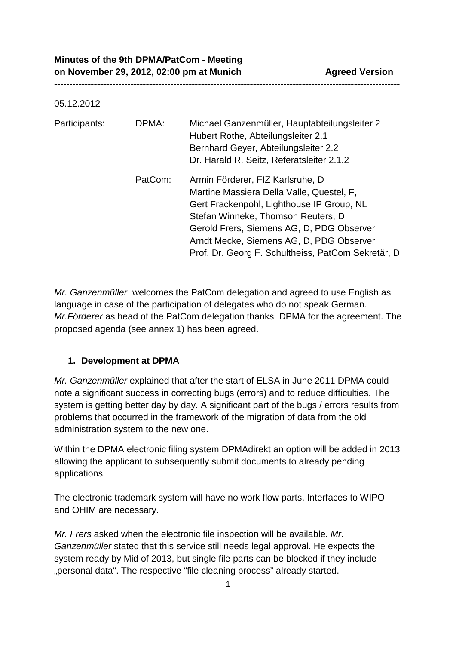| 05.12.2012    |         |                                                                                                                                                                                                                                                                                                                 |
|---------------|---------|-----------------------------------------------------------------------------------------------------------------------------------------------------------------------------------------------------------------------------------------------------------------------------------------------------------------|
| Participants: | DPMA:   | Michael Ganzenmüller, Hauptabteilungsleiter 2<br>Hubert Rothe, Abteilungsleiter 2.1<br>Bernhard Geyer, Abteilungsleiter 2.2<br>Dr. Harald R. Seitz, Referatsleiter 2.1.2                                                                                                                                        |
|               | PatCom: | Armin Förderer, FIZ Karlsruhe, D<br>Martine Massiera Della Valle, Questel, F,<br>Gert Frackenpohl, Lighthouse IP Group, NL<br>Stefan Winneke, Thomson Reuters, D<br>Gerold Frers, Siemens AG, D, PDG Observer<br>Arndt Mecke, Siemens AG, D, PDG Observer<br>Prof. Dr. Georg F. Schultheiss, PatCom Sekretär, D |

**-----------------------------------------------------------------------------------------------------------------**

*Mr. Ganzenmüller* welcomes the PatCom delegation and agreed to use English as language in case of the participation of delegates who do not speak German. *Mr.Förderer* as head of the PatCom delegation thanks DPMA for the agreement. The proposed agenda (see annex 1) has been agreed.

### **1. Development at DPMA**

*Mr. Ganzenmüller* explained that after the start of ELSA in June 2011 DPMA could note a significant success in correcting bugs (errors) and to reduce difficulties. The system is getting better day by day. A significant part of the bugs / errors results from problems that occurred in the framework of the migration of data from the old administration system to the new one.

Within the DPMA electronic filing system DPMAdirekt an option will be added in 2013 allowing the applicant to subsequently submit documents to already pending applications.

The electronic trademark system will have no work flow parts. Interfaces to WIPO and OHIM are necessary.

*Mr. Frers* asked when the electronic file inspection will be available*. Mr. Ganzenmüller* stated that this service still needs legal approval. He expects the system ready by Mid of 2013, but single file parts can be blocked if they include "personal data". The respective "file cleaning process" already started.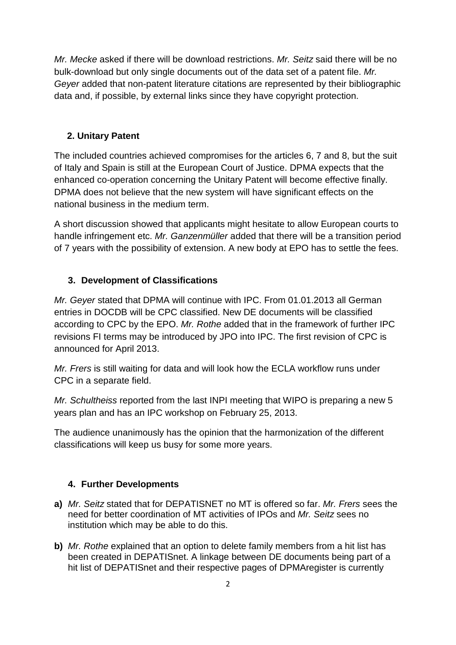*Mr. Mecke* asked if there will be download restrictions. *Mr. Seitz* said there will be no bulk-download but only single documents out of the data set of a patent file. *Mr. Geyer* added that non-patent literature citations are represented by their bibliographic data and, if possible, by external links since they have copyright protection.

# **2. Unitary Patent**

The included countries achieved compromises for the articles 6, 7 and 8, but the suit of Italy and Spain is still at the European Court of Justice. DPMA expects that the enhanced co-operation concerning the Unitary Patent will become effective finally. DPMA does not believe that the new system will have significant effects on the national business in the medium term.

A short discussion showed that applicants might hesitate to allow European courts to handle infringement etc. *Mr. Ganzenmüller* added that there will be a transition period of 7 years with the possibility of extension. A new body at EPO has to settle the fees.

## **3. Development of Classifications**

*Mr. Geyer* stated that DPMA will continue with IPC. From 01.01.2013 all German entries in DOCDB will be CPC classified. New DE documents will be classified according to CPC by the EPO. *Mr. Rothe* added that in the framework of further IPC revisions FI terms may be introduced by JPO into IPC. The first revision of CPC is announced for April 2013.

*Mr. Frers* is still waiting for data and will look how the ECLA workflow runs under CPC in a separate field.

*Mr. Schultheiss* reported from the last INPI meeting that WIPO is preparing a new 5 years plan and has an IPC workshop on February 25, 2013.

The audience unanimously has the opinion that the harmonization of the different classifications will keep us busy for some more years.

### **4. Further Developments**

- **a)** *Mr. Seitz* stated that for DEPATISNET no MT is offered so far. *Mr. Frers* sees the need for better coordination of MT activities of IPOs and *Mr. Seitz* sees no institution which may be able to do this.
- **b)** *Mr. Rothe* explained that an option to delete family members from a hit list has been created in DEPATISnet. A linkage between DE documents being part of a hit list of DEPATISnet and their respective pages of DPMAregister is currently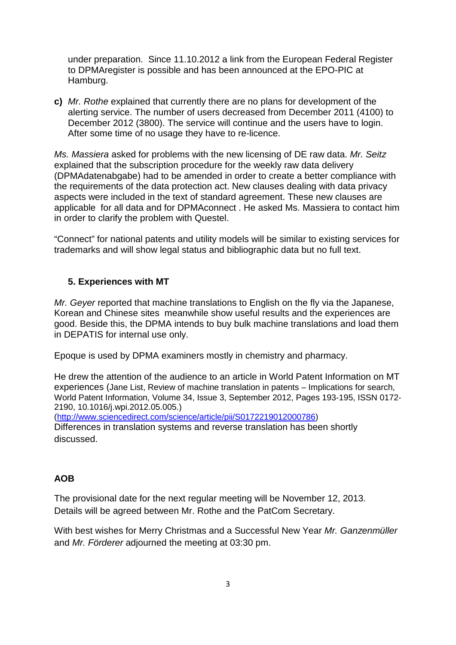under preparation. Since 11.10.2012 a link from the European Federal Register to DPMAregister is possible and has been announced at the EPO-PIC at Hamburg.

**c)** *Mr. Rothe* explained that currently there are no plans for development of the alerting service. The number of users decreased from December 2011 (4100) to December 2012 (3800). The service will continue and the users have to login. After some time of no usage they have to re-licence.

*Ms. Massiera* asked for problems with the new licensing of DE raw data. *Mr. Seitz* explained that the subscription procedure for the weekly raw data delivery (DPMAdatenabgabe) had to be amended in order to create a better compliance with the requirements of the data protection act. New clauses dealing with data privacy aspects were included in the text of standard agreement. These new clauses are applicable for all data and for DPMAconnect . He asked Ms. Massiera to contact him in order to clarify the problem with Questel.

"Connect" for national patents and utility models will be similar to existing services for trademarks and will show legal status and bibliographic data but no full text.

### **5. Experiences with MT**

*Mr. Geyer* reported that machine translations to English on the fly via the Japanese, Korean and Chinese sites meanwhile show useful results and the experiences are good. Beside this, the DPMA intends to buy bulk machine translations and load them in DEPATIS for internal use only.

Epoque is used by DPMA examiners mostly in chemistry and pharmacy.

He drew the attention of the audience to an article in World Patent Information on MT experiences (Jane List, Review of machine translation in patents – Implications for search, World Patent Information, Volume 34, Issue 3, September 2012, Pages 193-195, ISSN 0172- 2190, 10.1016/j.wpi.2012.05.005.)

[\(http://www.sciencedirect.com/science/article/pii/S0172219012000786\)](http://www.sciencedirect.com/science/article/pii/S0172219012000786) Differences in translation systems and reverse translation has been shortly discussed.

#### **AOB**

The provisional date for the next regular meeting will be November 12, 2013. Details will be agreed between Mr. Rothe and the PatCom Secretary.

With best wishes for Merry Christmas and a Successful New Year *Mr. Ganzenmüller*  and *Mr. Förderer* adjourned the meeting at 03:30 pm.